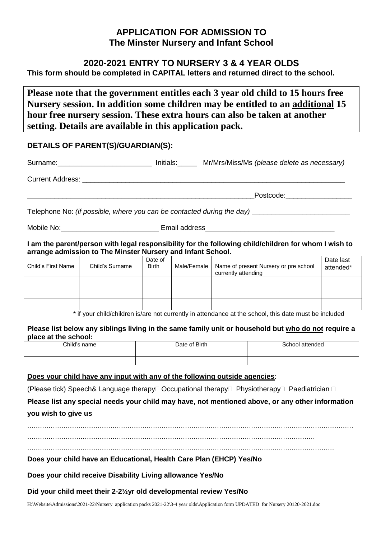# **APPLICATION FOR ADMISSION TO The Minster Nursery and Infant School**

# **2020-2021 ENTRY TO NURSERY 3 & 4 YEAR OLDS**

**This form should be completed in CAPITAL letters and returned direct to the school.**

**Please note that the government entitles each 3 year old child to 15 hours free Nursery session. In addition some children may be entitled to an additional 15 hour free nursery session. These extra hours can also be taken at another setting. Details are available in this application pack.**

## **DETAILS OF PARENT(S)/GUARDIAN(S):**

|            | Initials: Mr/Mrs/Miss/Ms (please delete as necessary)                  |  |
|------------|------------------------------------------------------------------------|--|
|            |                                                                        |  |
|            | Postcode: ___________________                                          |  |
|            | Telephone No: (if possible, where you can be contacted during the day) |  |
| Mobile No: | Email address                                                          |  |

**I am the parent/person with legal responsibility for the following child/children for whom I wish to arrange admission to The Minster Nursery and Infant School.**

| Child's First Name | Child's Surname | Date of<br><b>Birth</b> | Male/Female | Name of present Nursery or pre school<br>currently attending | Date last<br>attended* |
|--------------------|-----------------|-------------------------|-------------|--------------------------------------------------------------|------------------------|
|                    |                 |                         |             |                                                              |                        |
|                    |                 |                         |             |                                                              |                        |
|                    |                 |                         |             |                                                              |                        |

\* if your child/children is/are not currently in attendance at the school, this date must be included

#### **Please list below any siblings living in the same family unit or household but who do not require a place at the school:**

| Child's<br>name | f Birth<br>Jate | 3chool<br>attended |
|-----------------|-----------------|--------------------|
|                 |                 |                    |
|                 |                 |                    |

#### **Does your child have any input with any of the following outside agencies**:

(Please tick) Speech& Language therapy  $\Box$  Occupational therapy  $\Box$  Physiotherapy  $\Box$  Paediatrician  $\Box$ 

# **Please list any special needs your child may have, not mentioned above, or any other information you wish to give us**

………………………………………………………………………………………………………………………………………

………………………………………………………………………………………………………………………

………………………………………………………………………………………………………………………………

**Does your child have an Educational, Health Care Plan (EHCP) Yes/No**

**Does your child receive Disability Living allowance Yes/No**

**Did your child meet their 2-2½yr old developmental review Yes/No**

H:\Website\Admissions\2021-22\Nursery application packs 2021-22\3-4 year olds\Application form UPDATED for Nursery 20120-2021.doc